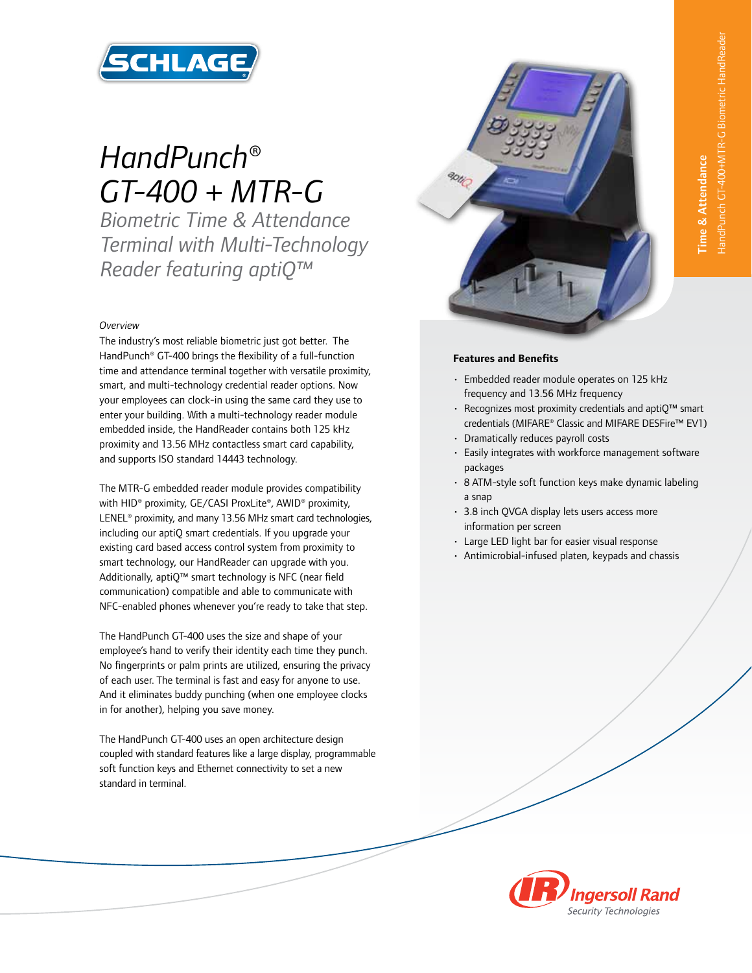

# *HandPunch® GT-400 + MTR-G*

*Biometric Time & Attendance Terminal with Multi-Technology Reader featuring aptiQ™* 

## *Overview*

The industry's most reliable biometric just got better. The HandPunch® GT-400 brings the flexibility of a full-function time and attendance terminal together with versatile proximity, smart, and multi-technology credential reader options. Now your employees can clock-in using the same card they use to enter your building. With a multi-technology reader module embedded inside, the HandReader contains both 125 kHz proximity and 13.56 MHz contactless smart card capability, and supports ISO standard 14443 technology.

The MTR-G embedded reader module provides compatibility with HID® proximity, GE/CASI ProxLite®, AWID® proximity, LENEL® proximity, and many 13.56 MHz smart card technologies, including our aptiQ smart credentials. If you upgrade your existing card based access control system from proximity to smart technology, our HandReader can upgrade with you. Additionally, aptiQ™ smart technology is NFC (near field communication) compatible and able to communicate with NFC-enabled phones whenever you're ready to take that step.

The HandPunch GT-400 uses the size and shape of your employee's hand to verify their identity each time they punch. No fingerprints or palm prints are utilized, ensuring the privacy of each user. The terminal is fast and easy for anyone to use. And it eliminates buddy punching (when one employee clocks in for another), helping you save money.

The HandPunch GT-400 uses an open architecture design coupled with standard features like a large display, programmable soft function keys and Ethernet connectivity to set a new standard in terminal.



# **Features and Benefits**

- Embedded reader module operates on 125 kHz frequency and 13.56 MHz frequency
- Recognizes most proximity credentials and aptiQ™ smart credentials (MIFARE® Classic and MIFARE DESFire™ EV1)
- Dramatically reduces payroll costs
- Easily integrates with workforce management software packages
- 8 ATM-style soft function keys make dynamic labeling a snap
- 3.8 inch QVGA display lets users access more information per screen
- Large LED light bar for easier visual response
- Antimicrobial-infused platen, keypads and chassis